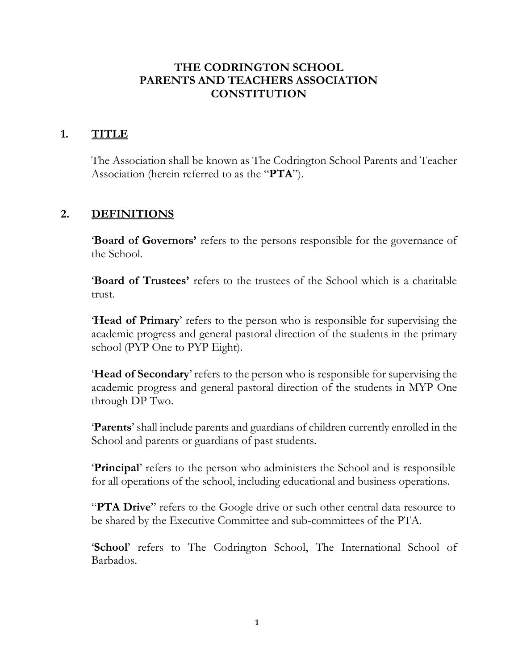#### **THE CODRINGTON SCHOOL PARENTS AND TEACHERS ASSOCIATION CONSTITUTION**

#### **1. TITLE**

The Association shall be known as The Codrington School Parents and Teacher Association (herein referred to as the "**PTA**").

### **2. DEFINITIONS**

'**Board of Governors'** refers to the persons responsible for the governance of the School.

'**Board of Trustees'** refers to the trustees of the School which is a charitable trust.

'**Head of Primary**' refers to the person who is responsible for supervising the academic progress and general pastoral direction of the students in the primary school (PYP One to PYP Eight).

'**Head of Secondary**' refers to the person who is responsible for supervising the academic progress and general pastoral direction of the students in MYP One through DP Two.

'**Parents**' shall include parents and guardians of children currently enrolled in the School and parents or guardians of past students.

'**Principal**' refers to the person who administers the School and is responsible for all operations of the school, including educational and business operations.

"**PTA Drive**" refers to the Google drive or such other central data resource to be shared by the Executive Committee and sub-committees of the PTA.

'**School**' refers to The Codrington School, The International School of Barbados.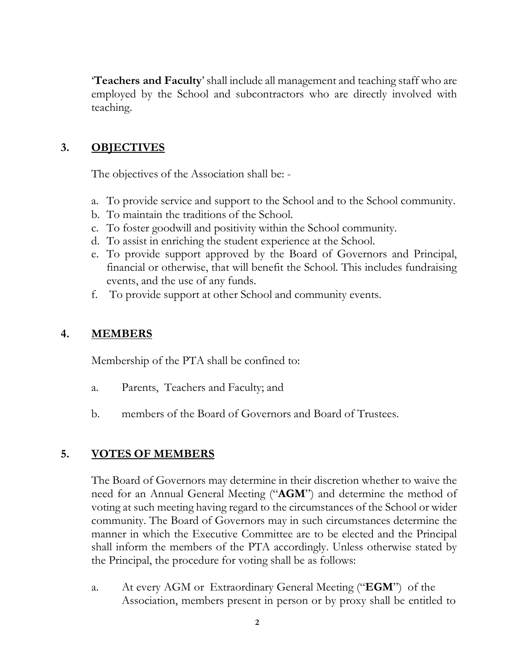'**Teachers and Faculty**' shall include all management and teaching staff who are employed by the School and subcontractors who are directly involved with teaching.

### **3. OBJECTIVES**

The objectives of the Association shall be: -

- a. To provide service and support to the School and to the School community.
- b. To maintain the traditions of the School.
- c. To foster goodwill and positivity within the School community.
- d. To assist in enriching the student experience at the School.
- e. To provide support approved by the Board of Governors and Principal, financial or otherwise, that will benefit the School. This includes fundraising events, and the use of any funds.
- f. To provide support at other School and community events.

### **4. MEMBERS**

Membership of the PTA shall be confined to:

- a. Parents, Teachers and Faculty; and
- b. members of the Board of Governors and Board of Trustees.

## **5. VOTES OF MEMBERS**

The Board of Governors may determine in their discretion whether to waive the need for an Annual General Meeting ("**AGM**") and determine the method of voting at such meeting having regard to the circumstances of the School or wider community. The Board of Governors may in such circumstances determine the manner in which the Executive Committee are to be elected and the Principal shall inform the members of the PTA accordingly. Unless otherwise stated by the Principal, the procedure for voting shall be as follows:

a. At every AGM or Extraordinary General Meeting ("**EGM**") of the Association, members present in person or by proxy shall be entitled to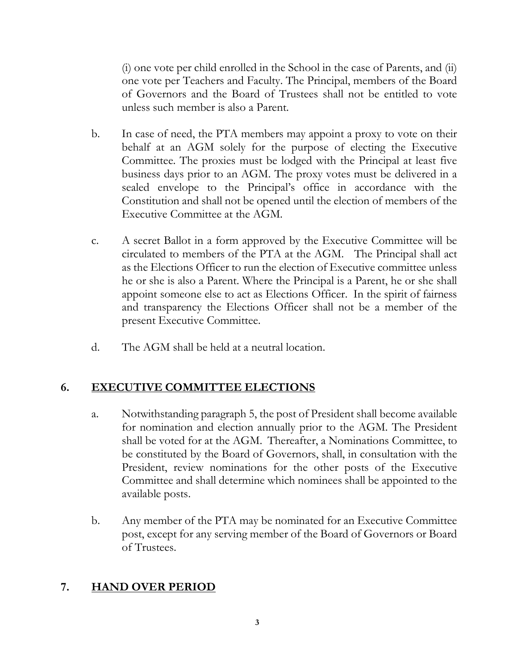(i) one vote per child enrolled in the School in the case of Parents, and (ii) one vote per Teachers and Faculty. The Principal, members of the Board of Governors and the Board of Trustees shall not be entitled to vote unless such member is also a Parent.

- b. In case of need, the PTA members may appoint a proxy to vote on their behalf at an AGM solely for the purpose of electing the Executive Committee. The proxies must be lodged with the Principal at least five business days prior to an AGM. The proxy votes must be delivered in a sealed envelope to the Principal's office in accordance with the Constitution and shall not be opened until the election of members of the Executive Committee at the AGM.
- c. A secret Ballot in a form approved by the Executive Committee will be circulated to members of the PTA at the AGM. The Principal shall act as the Elections Officer to run the election of Executive committee unless he or she is also a Parent. Where the Principal is a Parent, he or she shall appoint someone else to act as Elections Officer. In the spirit of fairness and transparency the Elections Officer shall not be a member of the present Executive Committee.
- d. The AGM shall be held at a neutral location.

## **6. EXECUTIVE COMMITTEE ELECTIONS**

- a. Notwithstanding paragraph 5, the post of President shall become available for nomination and election annually prior to the AGM. The President shall be voted for at the AGM. Thereafter, a Nominations Committee, to be constituted by the Board of Governors, shall, in consultation with the President, review nominations for the other posts of the Executive Committee and shall determine which nominees shall be appointed to the available posts.
- b. Any member of the PTA may be nominated for an Executive Committee post, except for any serving member of the Board of Governors or Board of Trustees.

#### **7. HAND OVER PERIOD**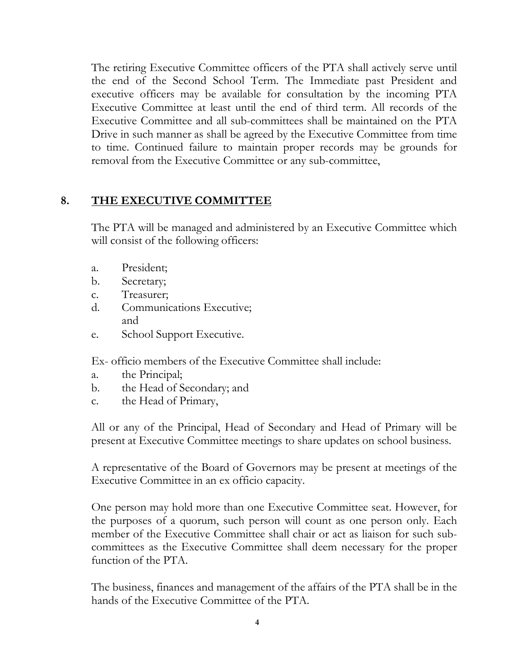The retiring Executive Committee officers of the PTA shall actively serve until the end of the Second School Term. The Immediate past President and executive officers may be available for consultation by the incoming PTA Executive Committee at least until the end of third term. All records of the Executive Committee and all sub-committees shall be maintained on the PTA Drive in such manner as shall be agreed by the Executive Committee from time to time. Continued failure to maintain proper records may be grounds for removal from the Executive Committee or any sub-committee,

### **8. THE EXECUTIVE COMMITTEE**

The PTA will be managed and administered by an Executive Committee which will consist of the following officers:

- a. President;
- b. Secretary;
- c. Treasurer;
- d. Communications Executive; and
- e. School Support Executive.

Ex- officio members of the Executive Committee shall include:

- a. the Principal;
- b. the Head of Secondary; and
- c. the Head of Primary,

All or any of the Principal, Head of Secondary and Head of Primary will be present at Executive Committee meetings to share updates on school business.

A representative of the Board of Governors may be present at meetings of the Executive Committee in an ex officio capacity.

One person may hold more than one Executive Committee seat. However, for the purposes of a quorum, such person will count as one person only. Each member of the Executive Committee shall chair or act as liaison for such subcommittees as the Executive Committee shall deem necessary for the proper function of the PTA.

The business, finances and management of the affairs of the PTA shall be in the hands of the Executive Committee of the PTA.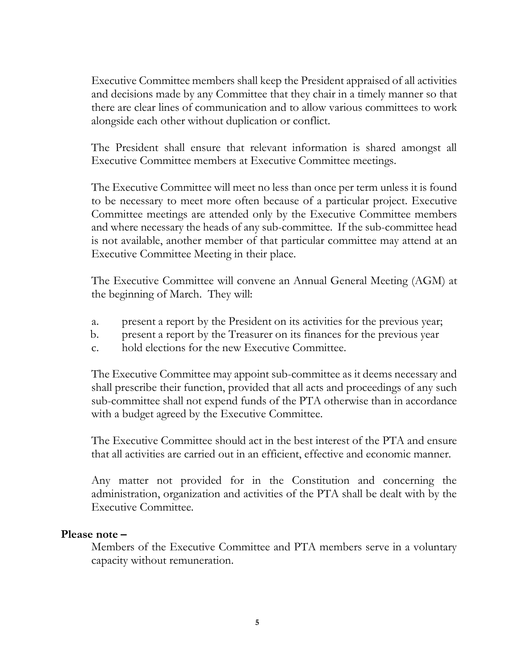Executive Committee members shall keep the President appraised of all activities and decisions made by any Committee that they chair in a timely manner so that there are clear lines of communication and to allow various committees to work alongside each other without duplication or conflict.

The President shall ensure that relevant information is shared amongst all Executive Committee members at Executive Committee meetings.

The Executive Committee will meet no less than once per term unless it is found to be necessary to meet more often because of a particular project. Executive Committee meetings are attended only by the Executive Committee members and where necessary the heads of any sub-committee. If the sub-committee head is not available, another member of that particular committee may attend at an Executive Committee Meeting in their place.

The Executive Committee will convene an Annual General Meeting (AGM) at the beginning of March. They will:

- a. present a report by the President on its activities for the previous year;
- b. present a report by the Treasurer on its finances for the previous year
- c. hold elections for the new Executive Committee.

The Executive Committee may appoint sub-committee as it deems necessary and shall prescribe their function, provided that all acts and proceedings of any such sub-committee shall not expend funds of the PTA otherwise than in accordance with a budget agreed by the Executive Committee.

The Executive Committee should act in the best interest of the PTA and ensure that all activities are carried out in an efficient, effective and economic manner.

Any matter not provided for in the Constitution and concerning the administration, organization and activities of the PTA shall be dealt with by the Executive Committee.

#### **Please note –**

Members of the Executive Committee and PTA members serve in a voluntary capacity without remuneration.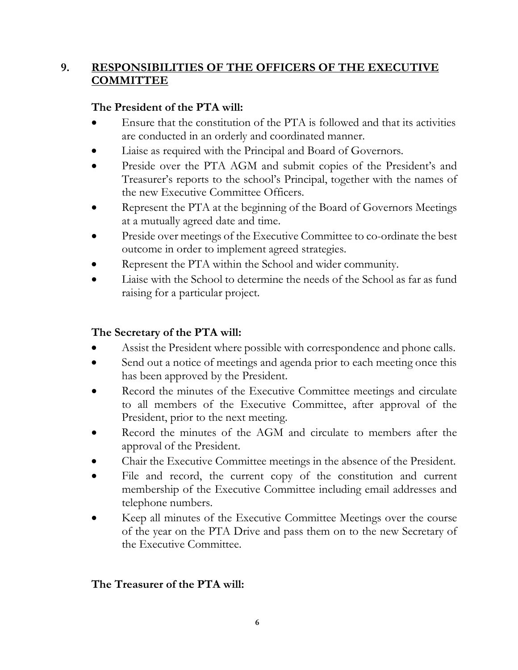# **9. RESPONSIBILITIES OF THE OFFICERS OF THE EXECUTIVE COMMITTEE**

# **The President of the PTA will:**

- Ensure that the constitution of the PTA is followed and that its activities are conducted in an orderly and coordinated manner.
- Liaise as required with the Principal and Board of Governors.
- Preside over the PTA AGM and submit copies of the President's and Treasurer's reports to the school's Principal, together with the names of the new Executive Committee Officers.
- Represent the PTA at the beginning of the Board of Governors Meetings at a mutually agreed date and time.
- Preside over meetings of the Executive Committee to co-ordinate the best outcome in order to implement agreed strategies.
- Represent the PTA within the School and wider community.
- Liaise with the School to determine the needs of the School as far as fund raising for a particular project.

# **The Secretary of the PTA will:**

- Assist the President where possible with correspondence and phone calls.
- Send out a notice of meetings and agenda prior to each meeting once this has been approved by the President.
- Record the minutes of the Executive Committee meetings and circulate to all members of the Executive Committee, after approval of the President, prior to the next meeting.
- Record the minutes of the AGM and circulate to members after the approval of the President.
- Chair the Executive Committee meetings in the absence of the President.
- File and record, the current copy of the constitution and current membership of the Executive Committee including email addresses and telephone numbers.
- Keep all minutes of the Executive Committee Meetings over the course of the year on the PTA Drive and pass them on to the new Secretary of the Executive Committee.

## **The Treasurer of the PTA will:**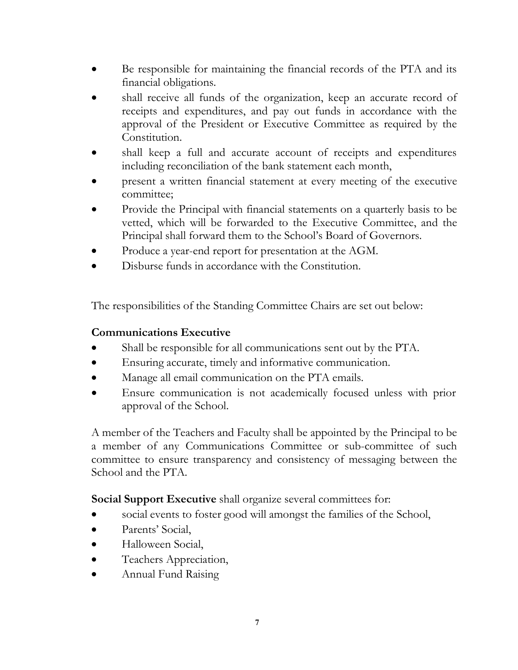- Be responsible for maintaining the financial records of the PTA and its financial obligations.
- shall receive all funds of the organization, keep an accurate record of receipts and expenditures, and pay out funds in accordance with the approval of the President or Executive Committee as required by the Constitution.
- shall keep a full and accurate account of receipts and expenditures including reconciliation of the bank statement each month,
- present a written financial statement at every meeting of the executive committee;
- Provide the Principal with financial statements on a quarterly basis to be vetted, which will be forwarded to the Executive Committee, and the Principal shall forward them to the School's Board of Governors.
- Produce a year-end report for presentation at the AGM.
- Disburse funds in accordance with the Constitution.

The responsibilities of the Standing Committee Chairs are set out below:

### **Communications Executive**

- Shall be responsible for all communications sent out by the PTA.
- Ensuring accurate, timely and informative communication.
- Manage all email communication on the PTA emails.
- Ensure communication is not academically focused unless with prior approval of the School.

A member of the Teachers and Faculty shall be appointed by the Principal to be a member of any Communications Committee or sub-committee of such committee to ensure transparency and consistency of messaging between the School and the PTA.

**Social Support Executive** shall organize several committees for:

- social events to foster good will amongst the families of the School,
- Parents' Social,
- Halloween Social,
- Teachers Appreciation,
- Annual Fund Raising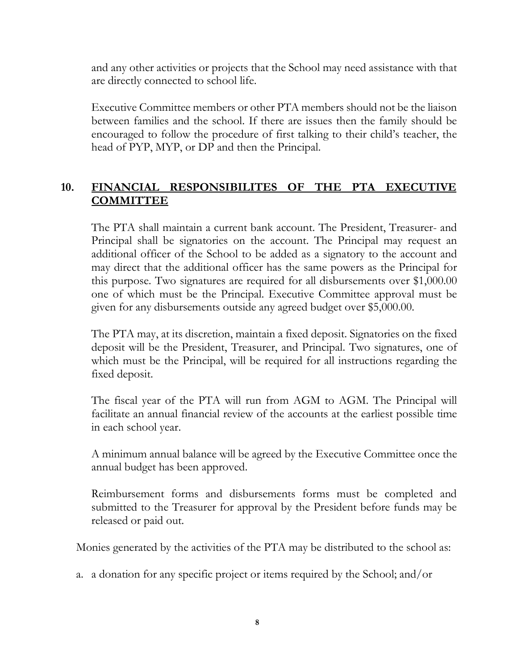and any other activities or projects that the School may need assistance with that are directly connected to school life.

Executive Committee members or other PTA members should not be the liaison between families and the school. If there are issues then the family should be encouraged to follow the procedure of first talking to their child's teacher, the head of PYP, MYP, or DP and then the Principal.

# **10. FINANCIAL RESPONSIBILITES OF THE PTA EXECUTIVE COMMITTEE**

The PTA shall maintain a current bank account. The President, Treasurer- and Principal shall be signatories on the account. The Principal may request an additional officer of the School to be added as a signatory to the account and may direct that the additional officer has the same powers as the Principal for this purpose. Two signatures are required for all disbursements over \$1,000.00 one of which must be the Principal. Executive Committee approval must be given for any disbursements outside any agreed budget over \$5,000.00.

The PTA may, at its discretion, maintain a fixed deposit. Signatories on the fixed deposit will be the President, Treasurer, and Principal. Two signatures, one of which must be the Principal, will be required for all instructions regarding the fixed deposit.

The fiscal year of the PTA will run from AGM to AGM. The Principal will facilitate an annual financial review of the accounts at the earliest possible time in each school year.

A minimum annual balance will be agreed by the Executive Committee once the annual budget has been approved.

Reimbursement forms and disbursements forms must be completed and submitted to the Treasurer for approval by the President before funds may be released or paid out.

Monies generated by the activities of the PTA may be distributed to the school as:

a. a donation for any specific project or items required by the School; and/or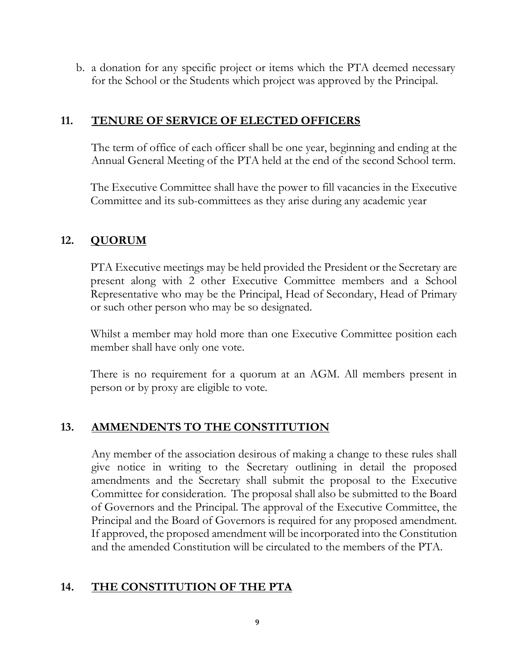b. a donation for any specific project or items which the PTA deemed necessary for the School or the Students which project was approved by the Principal.

#### **11. TENURE OF SERVICE OF ELECTED OFFICERS**

The term of office of each officer shall be one year, beginning and ending at the Annual General Meeting of the PTA held at the end of the second School term.

The Executive Committee shall have the power to fill vacancies in the Executive Committee and its sub-committees as they arise during any academic year

### **12. QUORUM**

PTA Executive meetings may be held provided the President or the Secretary are present along with 2 other Executive Committee members and a School Representative who may be the Principal, Head of Secondary, Head of Primary or such other person who may be so designated.

Whilst a member may hold more than one Executive Committee position each member shall have only one vote.

There is no requirement for a quorum at an AGM. All members present in person or by proxy are eligible to vote.

## **13. AMMENDENTS TO THE CONSTITUTION**

Any member of the association desirous of making a change to these rules shall give notice in writing to the Secretary outlining in detail the proposed amendments and the Secretary shall submit the proposal to the Executive Committee for consideration. The proposal shall also be submitted to the Board of Governors and the Principal. The approval of the Executive Committee, the Principal and the Board of Governors is required for any proposed amendment. If approved, the proposed amendment will be incorporated into the Constitution and the amended Constitution will be circulated to the members of the PTA.

### **14. THE CONSTITUTION OF THE PTA**